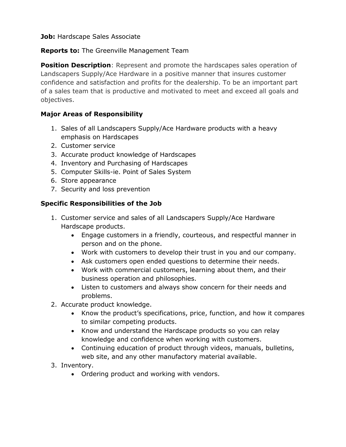## **Job:** Hardscape Sales Associate

## **Reports to:** The Greenville Management Team

**Position Description**: Represent and promote the hardscapes sales operation of Landscapers Supply/Ace Hardware in a positive manner that insures customer confidence and satisfaction and profits for the dealership. To be an important part of a sales team that is productive and motivated to meet and exceed all goals and objectives.

# **Major Areas of Responsibility**

- 1. Sales of all Landscapers Supply/Ace Hardware products with a heavy emphasis on Hardscapes
- 2. Customer service
- 3. Accurate product knowledge of Hardscapes
- 4. Inventory and Purchasing of Hardscapes
- 5. Computer Skills-ie. Point of Sales System
- 6. Store appearance
- 7. Security and loss prevention

### **Specific Responsibilities of the Job**

- 1. Customer service and sales of all Landscapers Supply/Ace Hardware Hardscape products.
	- Engage customers in a friendly, courteous, and respectful manner in person and on the phone.
	- Work with customers to develop their trust in you and our company.
	- Ask customers open ended questions to determine their needs.
	- Work with commercial customers, learning about them, and their business operation and philosophies.
	- Listen to customers and always show concern for their needs and problems.
- 2. Accurate product knowledge.
	- Know the product's specifications, price, function, and how it compares to similar competing products.
	- Know and understand the Hardscape products so you can relay knowledge and confidence when working with customers.
	- Continuing education of product through videos, manuals, bulletins, web site, and any other manufactory material available.
- 3. Inventory.
	- Ordering product and working with vendors.